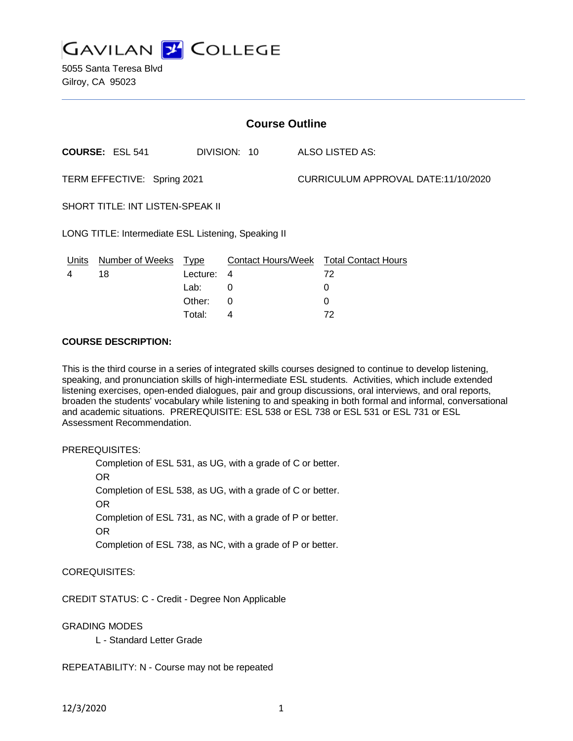

5055 Santa Teresa Blvd Gilroy, CA 95023

| <b>Course Outline</b>                               |                        |          |              |                                     |                                        |
|-----------------------------------------------------|------------------------|----------|--------------|-------------------------------------|----------------------------------------|
|                                                     | <b>COURSE: ESL 541</b> |          | DIVISION: 10 |                                     | ALSO LISTED AS:                        |
| TERM EFFECTIVE: Spring 2021                         |                        |          |              | CURRICULUM APPROVAL DATE:11/10/2020 |                                        |
| SHORT TITLE: INT LISTEN-SPEAK II                    |                        |          |              |                                     |                                        |
| LONG TITLE: Intermediate ESL Listening, Speaking II |                        |          |              |                                     |                                        |
| Units                                               | Number of Weeks Type   |          |              |                                     | Contact Hours/Week Total Contact Hours |
| 4                                                   | 18                     | Lecture: | 4            |                                     | 72                                     |
|                                                     |                        | Lab:     | 0            |                                     | 0                                      |
|                                                     |                        | Other:   | $\Omega$     |                                     | 0                                      |
|                                                     |                        | Total:   | 4            |                                     | 72                                     |

### **COURSE DESCRIPTION:**

This is the third course in a series of integrated skills courses designed to continue to develop listening, speaking, and pronunciation skills of high-intermediate ESL students. Activities, which include extended listening exercises, open-ended dialogues, pair and group discussions, oral interviews, and oral reports, broaden the students' vocabulary while listening to and speaking in both formal and informal, conversational and academic situations. PREREQUISITE: ESL 538 or ESL 738 or ESL 531 or ESL 731 or ESL Assessment Recommendation.

PREREQUISITES:

Completion of ESL 531, as UG, with a grade of C or better. OR Completion of ESL 538, as UG, with a grade of C or better. OR Completion of ESL 731, as NC, with a grade of P or better. OR Completion of ESL 738, as NC, with a grade of P or better.

COREQUISITES:

CREDIT STATUS: C - Credit - Degree Non Applicable

GRADING MODES

L - Standard Letter Grade

REPEATABILITY: N - Course may not be repeated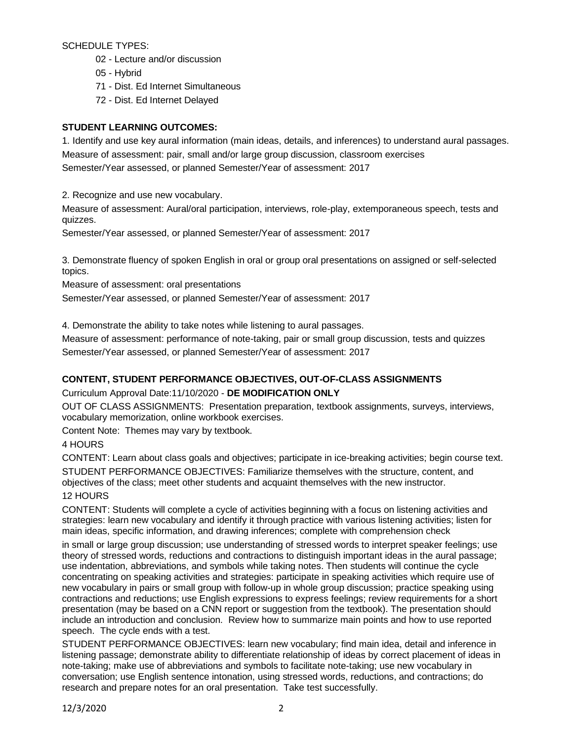SCHEDULE TYPES:

- 02 Lecture and/or discussion
- 05 Hybrid
- 71 Dist. Ed Internet Simultaneous
- 72 Dist. Ed Internet Delayed

# **STUDENT LEARNING OUTCOMES:**

1. Identify and use key aural information (main ideas, details, and inferences) to understand aural passages. Measure of assessment: pair, small and/or large group discussion, classroom exercises Semester/Year assessed, or planned Semester/Year of assessment: 2017

2. Recognize and use new vocabulary.

Measure of assessment: Aural/oral participation, interviews, role-play, extemporaneous speech, tests and quizzes.

Semester/Year assessed, or planned Semester/Year of assessment: 2017

3. Demonstrate fluency of spoken English in oral or group oral presentations on assigned or self-selected topics.

Measure of assessment: oral presentations

Semester/Year assessed, or planned Semester/Year of assessment: 2017

4. Demonstrate the ability to take notes while listening to aural passages.

Measure of assessment: performance of note-taking, pair or small group discussion, tests and quizzes Semester/Year assessed, or planned Semester/Year of assessment: 2017

# **CONTENT, STUDENT PERFORMANCE OBJECTIVES, OUT-OF-CLASS ASSIGNMENTS**

Curriculum Approval Date:11/10/2020 - **DE MODIFICATION ONLY**

OUT OF CLASS ASSIGNMENTS: Presentation preparation, textbook assignments, surveys, interviews, vocabulary memorization, online workbook exercises.

Content Note: Themes may vary by textbook.

4 HOURS

CONTENT: Learn about class goals and objectives; participate in ice-breaking activities; begin course text. STUDENT PERFORMANCE OBJECTIVES: Familiarize themselves with the structure, content, and objectives of the class; meet other students and acquaint themselves with the new instructor.

# 12 HOURS

CONTENT: Students will complete a cycle of activities beginning with a focus on listening activities and strategies: learn new vocabulary and identify it through practice with various listening activities; listen for main ideas, specific information, and drawing inferences; complete with comprehension check

in small or large group discussion; use understanding of stressed words to interpret speaker feelings; use theory of stressed words, reductions and contractions to distinguish important ideas in the aural passage; use indentation, abbreviations, and symbols while taking notes. Then students will continue the cycle concentrating on speaking activities and strategies: participate in speaking activities which require use of new vocabulary in pairs or small group with follow-up in whole group discussion; practice speaking using contractions and reductions; use English expressions to express feelings; review requirements for a short presentation (may be based on a CNN report or suggestion from the textbook). The presentation should include an introduction and conclusion. Review how to summarize main points and how to use reported speech. The cycle ends with a test.

STUDENT PERFORMANCE OBJECTIVES: learn new vocabulary; find main idea, detail and inference in listening passage; demonstrate ability to differentiate relationship of ideas by correct placement of ideas in note-taking; make use of abbreviations and symbols to facilitate note-taking; use new vocabulary in conversation; use English sentence intonation, using stressed words, reductions, and contractions; do research and prepare notes for an oral presentation. Take test successfully.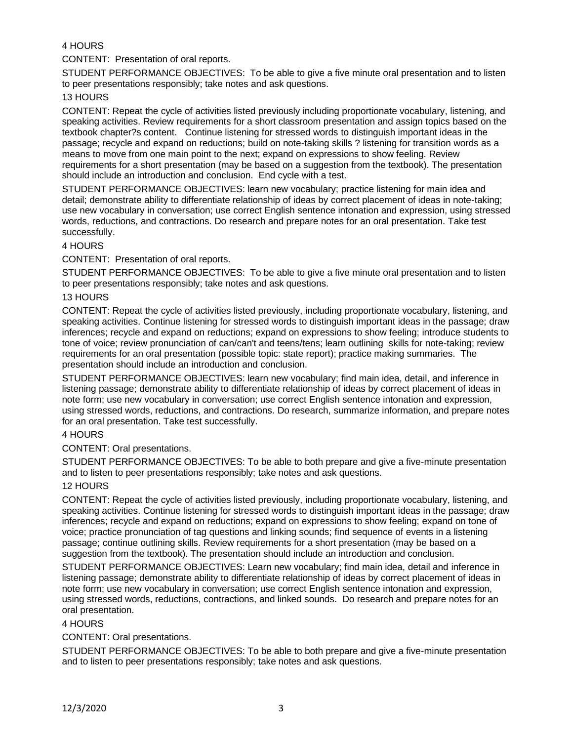# 4 HOURS

CONTENT: Presentation of oral reports.

STUDENT PERFORMANCE OBJECTIVES: To be able to give a five minute oral presentation and to listen to peer presentations responsibly; take notes and ask questions.

### 13 HOURS

CONTENT: Repeat the cycle of activities listed previously including proportionate vocabulary, listening, and speaking activities. Review requirements for a short classroom presentation and assign topics based on the textbook chapter?s content. Continue listening for stressed words to distinguish important ideas in the passage; recycle and expand on reductions; build on note-taking skills ? listening for transition words as a means to move from one main point to the next; expand on expressions to show feeling. Review requirements for a short presentation (may be based on a suggestion from the textbook). The presentation should include an introduction and conclusion. End cycle with a test.

STUDENT PERFORMANCE OBJECTIVES: learn new vocabulary; practice listening for main idea and detail; demonstrate ability to differentiate relationship of ideas by correct placement of ideas in note-taking; use new vocabulary in conversation; use correct English sentence intonation and expression, using stressed words, reductions, and contractions. Do research and prepare notes for an oral presentation. Take test successfully.

## 4 HOURS

CONTENT: Presentation of oral reports.

STUDENT PERFORMANCE OBJECTIVES: To be able to give a five minute oral presentation and to listen to peer presentations responsibly; take notes and ask questions.

### 13 HOURS

CONTENT: Repeat the cycle of activities listed previously, including proportionate vocabulary, listening, and speaking activities. Continue listening for stressed words to distinguish important ideas in the passage; draw inferences; recycle and expand on reductions; expand on expressions to show feeling; introduce students to tone of voice; review pronunciation of can/can't and teens/tens; learn outlining skills for note-taking; review requirements for an oral presentation (possible topic: state report); practice making summaries. The presentation should include an introduction and conclusion.

STUDENT PERFORMANCE OBJECTIVES: learn new vocabulary; find main idea, detail, and inference in listening passage; demonstrate ability to differentiate relationship of ideas by correct placement of ideas in note form; use new vocabulary in conversation; use correct English sentence intonation and expression, using stressed words, reductions, and contractions. Do research, summarize information, and prepare notes for an oral presentation. Take test successfully.

## 4 HOURS

#### CONTENT: Oral presentations.

STUDENT PERFORMANCE OBJECTIVES: To be able to both prepare and give a five-minute presentation and to listen to peer presentations responsibly; take notes and ask questions.

#### 12 HOURS

CONTENT: Repeat the cycle of activities listed previously, including proportionate vocabulary, listening, and speaking activities. Continue listening for stressed words to distinguish important ideas in the passage; draw inferences; recycle and expand on reductions; expand on expressions to show feeling; expand on tone of voice; practice pronunciation of tag questions and linking sounds; find sequence of events in a listening passage; continue outlining skills. Review requirements for a short presentation (may be based on a suggestion from the textbook). The presentation should include an introduction and conclusion.

STUDENT PERFORMANCE OBJECTIVES: Learn new vocabulary; find main idea, detail and inference in listening passage; demonstrate ability to differentiate relationship of ideas by correct placement of ideas in note form; use new vocabulary in conversation; use correct English sentence intonation and expression, using stressed words, reductions, contractions, and linked sounds. Do research and prepare notes for an oral presentation.

#### 4 HOURS

## CONTENT: Oral presentations.

STUDENT PERFORMANCE OBJECTIVES: To be able to both prepare and give a five-minute presentation and to listen to peer presentations responsibly; take notes and ask questions.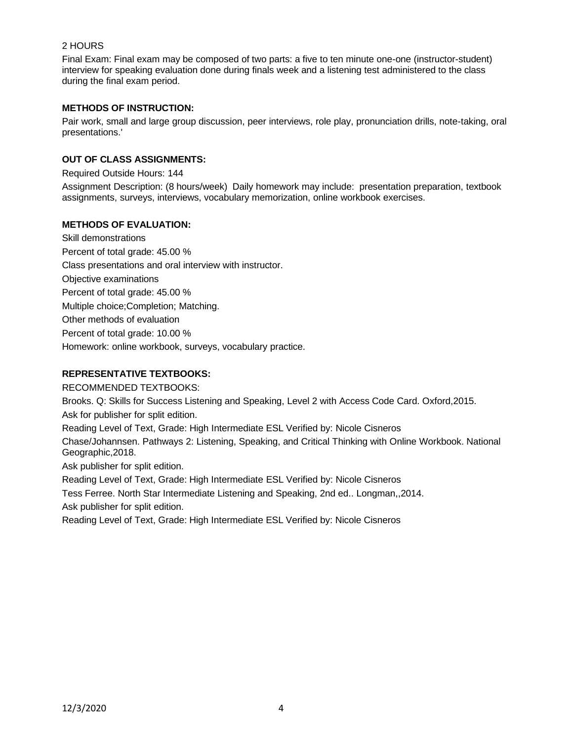## 2 HOURS

Final Exam: Final exam may be composed of two parts: a five to ten minute one-one (instructor-student) interview for speaking evaluation done during finals week and a listening test administered to the class during the final exam period.

## **METHODS OF INSTRUCTION:**

Pair work, small and large group discussion, peer interviews, role play, pronunciation drills, note-taking, oral presentations.'

## **OUT OF CLASS ASSIGNMENTS:**

Required Outside Hours: 144

Assignment Description: (8 hours/week) Daily homework may include: presentation preparation, textbook assignments, surveys, interviews, vocabulary memorization, online workbook exercises.

## **METHODS OF EVALUATION:**

Skill demonstrations Percent of total grade: 45.00 % Class presentations and oral interview with instructor. Objective examinations Percent of total grade: 45.00 % Multiple choice;Completion; Matching. Other methods of evaluation Percent of total grade: 10.00 % Homework: online workbook, surveys, vocabulary practice.

## **REPRESENTATIVE TEXTBOOKS:**

RECOMMENDED TEXTBOOKS:

Brooks. Q: Skills for Success Listening and Speaking, Level 2 with Access Code Card. Oxford,2015.

Ask for publisher for split edition.

Reading Level of Text, Grade: High Intermediate ESL Verified by: Nicole Cisneros

Chase/Johannsen. Pathways 2: Listening, Speaking, and Critical Thinking with Online Workbook. National Geographic,2018.

Ask publisher for split edition.

Reading Level of Text, Grade: High Intermediate ESL Verified by: Nicole Cisneros

Tess Ferree. North Star Intermediate Listening and Speaking, 2nd ed.. Longman,,2014. Ask publisher for split edition.

Reading Level of Text, Grade: High Intermediate ESL Verified by: Nicole Cisneros